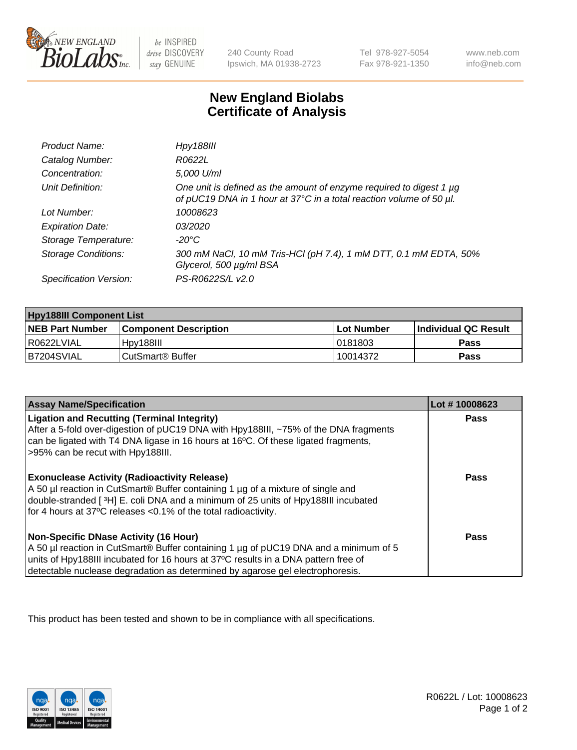

 $be$  INSPIRED drive DISCOVERY stay GENUINE

240 County Road Ipswich, MA 01938-2723 Tel 978-927-5054 Fax 978-921-1350 www.neb.com info@neb.com

## **New England Biolabs Certificate of Analysis**

| Product Name:              | Hpy188III                                                                                                                                  |
|----------------------------|--------------------------------------------------------------------------------------------------------------------------------------------|
| Catalog Number:            | R0622L                                                                                                                                     |
| Concentration:             | 5,000 U/ml                                                                                                                                 |
| Unit Definition:           | One unit is defined as the amount of enzyme required to digest 1 µg<br>of pUC19 DNA in 1 hour at 37°C in a total reaction volume of 50 µl. |
| Lot Number:                | 10008623                                                                                                                                   |
| <b>Expiration Date:</b>    | <i>03/2020</i>                                                                                                                             |
| Storage Temperature:       | -20°C                                                                                                                                      |
| <b>Storage Conditions:</b> | 300 mM NaCl, 10 mM Tris-HCl (pH 7.4), 1 mM DTT, 0.1 mM EDTA, 50%<br>Glycerol, 500 µg/ml BSA                                                |
| Specification Version:     | PS-R0622S/L v2.0                                                                                                                           |

| <b>Hpy188III Component List</b> |                              |              |                             |  |
|---------------------------------|------------------------------|--------------|-----------------------------|--|
| <b>NEB Part Number</b>          | <b>Component Description</b> | l Lot Number | <b>Individual QC Result</b> |  |
| R0622LVIAL                      | Hpy188III                    | 10181803     | Pass                        |  |
| B7204SVIAL                      | CutSmart® Buffer             | 10014372     | Pass                        |  |

| <b>Assay Name/Specification</b>                                                                                                                                                                                                                                                                             | Lot #10008623 |
|-------------------------------------------------------------------------------------------------------------------------------------------------------------------------------------------------------------------------------------------------------------------------------------------------------------|---------------|
| <b>Ligation and Recutting (Terminal Integrity)</b><br>After a 5-fold over-digestion of pUC19 DNA with Hpy188III, ~75% of the DNA fragments<br>can be ligated with T4 DNA ligase in 16 hours at 16°C. Of these ligated fragments,<br>>95% can be recut with Hpy188III.                                       | Pass          |
| <b>Exonuclease Activity (Radioactivity Release)</b><br>A 50 µl reaction in CutSmart® Buffer containing 1 µg of a mixture of single and<br>double-stranded [3H] E. coli DNA and a minimum of 25 units of Hpy188III incubated<br>for 4 hours at 37°C releases <0.1% of the total radioactivity.               | <b>Pass</b>   |
| <b>Non-Specific DNase Activity (16 Hour)</b><br>A 50 µl reaction in CutSmart® Buffer containing 1 µg of pUC19 DNA and a minimum of 5<br>units of Hpy188III incubated for 16 hours at 37°C results in a DNA pattern free of<br>detectable nuclease degradation as determined by agarose gel electrophoresis. | <b>Pass</b>   |

This product has been tested and shown to be in compliance with all specifications.